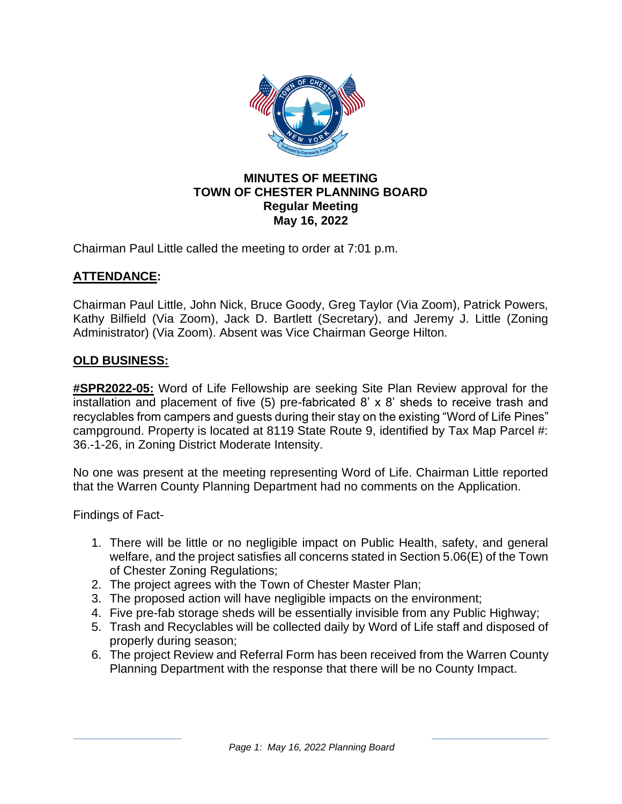

### **MINUTES OF MEETING TOWN OF CHESTER PLANNING BOARD Regular Meeting May 16, 2022**

Chairman Paul Little called the meeting to order at 7:01 p.m.

# **ATTENDANCE:**

Chairman Paul Little, John Nick, Bruce Goody, Greg Taylor (Via Zoom), Patrick Powers, Kathy Bilfield (Via Zoom), Jack D. Bartlett (Secretary), and Jeremy J. Little (Zoning Administrator) (Via Zoom). Absent was Vice Chairman George Hilton.

## **OLD BUSINESS:**

**#SPR2022-05:** Word of Life Fellowship are seeking Site Plan Review approval for the installation and placement of five (5) pre-fabricated 8' x 8' sheds to receive trash and recyclables from campers and guests during their stay on the existing "Word of Life Pines" campground. Property is located at 8119 State Route 9, identified by Tax Map Parcel #: 36.-1-26, in Zoning District Moderate Intensity.

No one was present at the meeting representing Word of Life. Chairman Little reported that the Warren County Planning Department had no comments on the Application.

Findings of Fact-

- 1. There will be little or no negligible impact on Public Health, safety, and general welfare, and the project satisfies all concerns stated in Section 5.06(E) of the Town of Chester Zoning Regulations;
- 2. The project agrees with the Town of Chester Master Plan;
- 3. The proposed action will have negligible impacts on the environment;
- 4. Five pre-fab storage sheds will be essentially invisible from any Public Highway;
- 5. Trash and Recyclables will be collected daily by Word of Life staff and disposed of properly during season;
- 6. The project Review and Referral Form has been received from the Warren County Planning Department with the response that there will be no County Impact.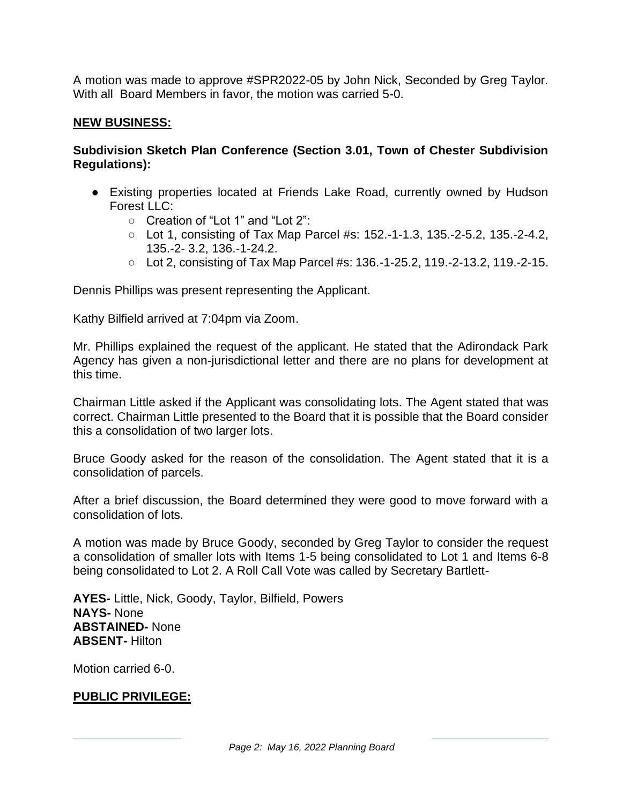A motion was made to approve #SPR2022-05 by John Nick, Seconded by Greg Taylor. With all Board Members in favor, the motion was carried 5-0.

### **NEW BUSINESS:**

### **Subdivision Sketch Plan Conference (Section 3.01, Town of Chester Subdivision Regulations):**

- Existing properties located at Friends Lake Road, currently owned by Hudson Forest LLC:
	- Creation of "Lot 1" and "Lot 2":
	- Lot 1, consisting of Tax Map Parcel #s: 152.-1-1.3, 135.-2-5.2, 135.-2-4.2, 135.-2- 3.2, 136.-1-24.2.
	- Lot 2, consisting of Tax Map Parcel #s: 136.-1-25.2, 119.-2-13.2, 119.-2-15.

Dennis Phillips was present representing the Applicant.

Kathy Bilfield arrived at 7:04pm via Zoom.

Mr. Phillips explained the request of the applicant. He stated that the Adirondack Park Agency has given a non-jurisdictional letter and there are no plans for development at this time.

Chairman Little asked if the Applicant was consolidating lots. The Agent stated that was correct. Chairman Little presented to the Board that it is possible that the Board consider this a consolidation of two larger lots.

Bruce Goody asked for the reason of the consolidation. The Agent stated that it is a consolidation of parcels.

After a brief discussion, the Board determined they were good to move forward with a consolidation of lots.

A motion was made by Bruce Goody, seconded by Greg Taylor to consider the request a consolidation of smaller lots with Items 1-5 being consolidated to Lot 1 and Items 6-8 being consolidated to Lot 2. A Roll Call Vote was called by Secretary Bartlett-

**AYES-** Little, Nick, Goody, Taylor, Bilfield, Powers **NAYS-** None **ABSTAINED-** None **ABSENT-** Hilton

Motion carried 6-0.

# **PUBLIC PRIVILEGE:**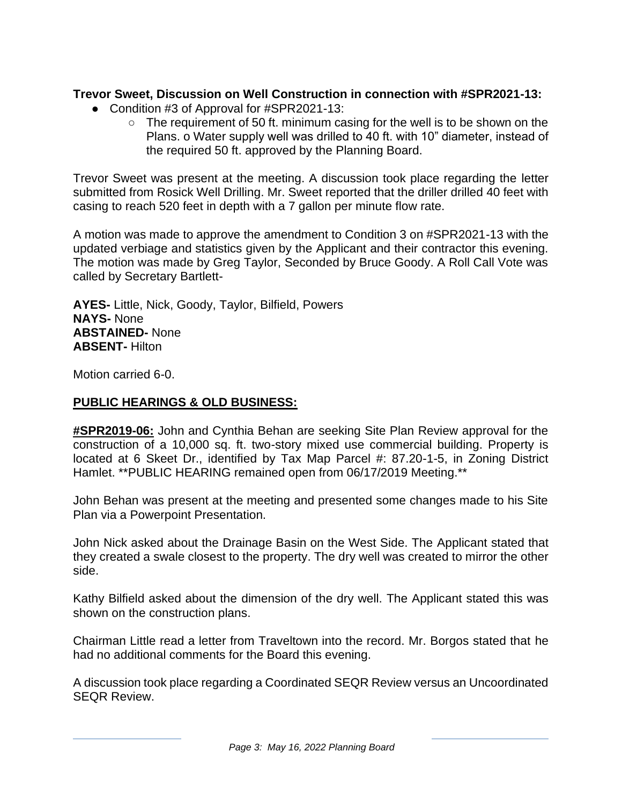# **Trevor Sweet, Discussion on Well Construction in connection with #SPR2021-13:**

- Condition #3 of Approval for #SPR2021-13:
	- $\circ$  The requirement of 50 ft. minimum casing for the well is to be shown on the Plans. o Water supply well was drilled to 40 ft. with 10" diameter, instead of the required 50 ft. approved by the Planning Board.

Trevor Sweet was present at the meeting. A discussion took place regarding the letter submitted from Rosick Well Drilling. Mr. Sweet reported that the driller drilled 40 feet with casing to reach 520 feet in depth with a 7 gallon per minute flow rate.

A motion was made to approve the amendment to Condition 3 on #SPR2021-13 with the updated verbiage and statistics given by the Applicant and their contractor this evening. The motion was made by Greg Taylor, Seconded by Bruce Goody. A Roll Call Vote was called by Secretary Bartlett-

**AYES-** Little, Nick, Goody, Taylor, Bilfield, Powers **NAYS-** None **ABSTAINED-** None **ABSENT-** Hilton

Motion carried 6-0.

#### **PUBLIC HEARINGS & OLD BUSINESS:**

**#SPR2019-06:** John and Cynthia Behan are seeking Site Plan Review approval for the construction of a 10,000 sq. ft. two-story mixed use commercial building. Property is located at 6 Skeet Dr., identified by Tax Map Parcel #: 87.20-1-5, in Zoning District Hamlet. \*\*PUBLIC HEARING remained open from 06/17/2019 Meeting.\*\*

John Behan was present at the meeting and presented some changes made to his Site Plan via a Powerpoint Presentation.

John Nick asked about the Drainage Basin on the West Side. The Applicant stated that they created a swale closest to the property. The dry well was created to mirror the other side.

Kathy Bilfield asked about the dimension of the dry well. The Applicant stated this was shown on the construction plans.

Chairman Little read a letter from Traveltown into the record. Mr. Borgos stated that he had no additional comments for the Board this evening.

A discussion took place regarding a Coordinated SEQR Review versus an Uncoordinated SEQR Review.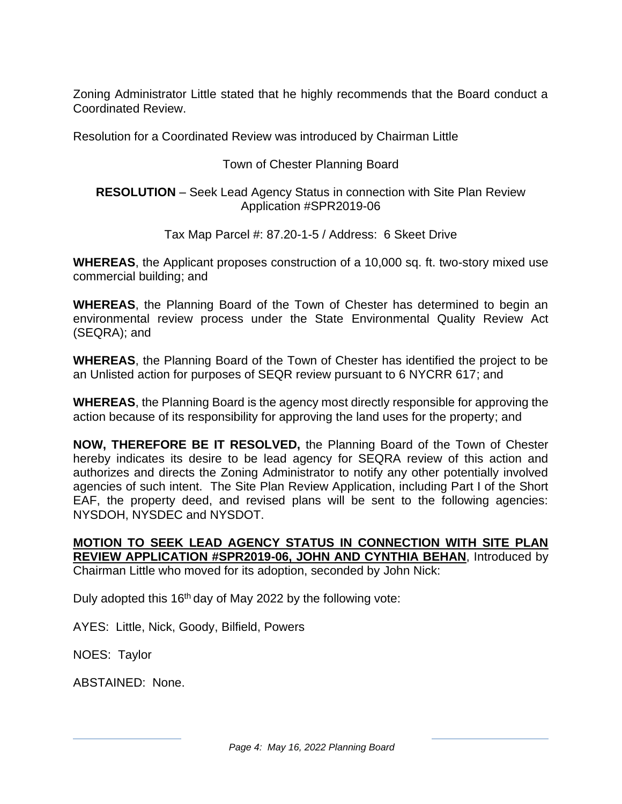Zoning Administrator Little stated that he highly recommends that the Board conduct a Coordinated Review.

Resolution for a Coordinated Review was introduced by Chairman Little

Town of Chester Planning Board

**RESOLUTION** – Seek Lead Agency Status in connection with Site Plan Review Application #SPR2019-06

Tax Map Parcel #: 87.20-1-5 / Address: 6 Skeet Drive

**WHEREAS**, the Applicant proposes construction of a 10,000 sq. ft. two-story mixed use commercial building; and

**WHEREAS**, the Planning Board of the Town of Chester has determined to begin an environmental review process under the State Environmental Quality Review Act (SEQRA); and

**WHEREAS**, the Planning Board of the Town of Chester has identified the project to be an Unlisted action for purposes of SEQR review pursuant to 6 NYCRR 617; and

**WHEREAS**, the Planning Board is the agency most directly responsible for approving the action because of its responsibility for approving the land uses for the property; and

**NOW, THEREFORE BE IT RESOLVED,** the Planning Board of the Town of Chester hereby indicates its desire to be lead agency for SEQRA review of this action and authorizes and directs the Zoning Administrator to notify any other potentially involved agencies of such intent. The Site Plan Review Application, including Part I of the Short EAF, the property deed, and revised plans will be sent to the following agencies: NYSDOH, NYSDEC and NYSDOT.

**MOTION TO SEEK LEAD AGENCY STATUS IN CONNECTION WITH SITE PLAN REVIEW APPLICATION #SPR2019-06, JOHN AND CYNTHIA BEHAN**, Introduced by Chairman Little who moved for its adoption, seconded by John Nick:

Duly adopted this 16<sup>th</sup> day of May 2022 by the following vote:

AYES: Little, Nick, Goody, Bilfield, Powers

NOES: Taylor

ABSTAINED: None.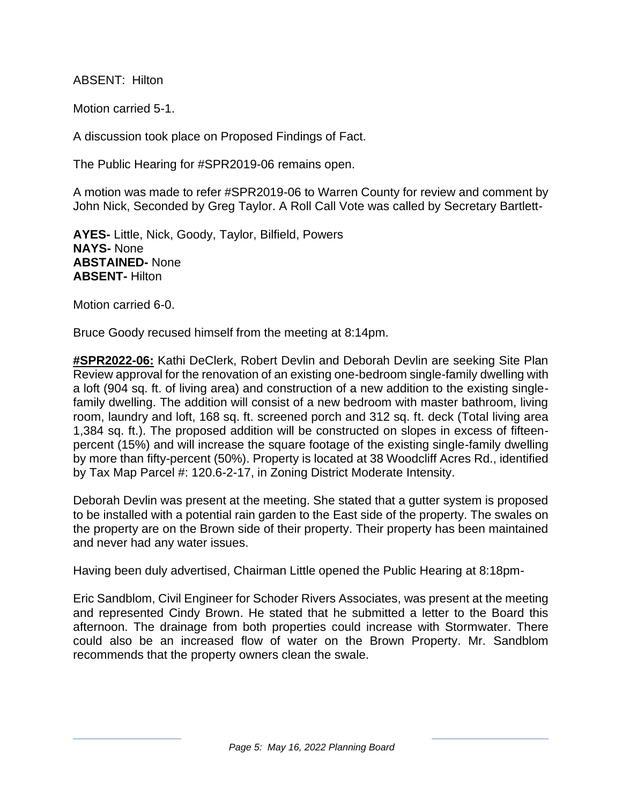ABSENT: Hilton

Motion carried 5-1.

A discussion took place on Proposed Findings of Fact.

The Public Hearing for #SPR2019-06 remains open.

A motion was made to refer #SPR2019-06 to Warren County for review and comment by John Nick, Seconded by Greg Taylor. A Roll Call Vote was called by Secretary Bartlett-

**AYES-** Little, Nick, Goody, Taylor, Bilfield, Powers **NAYS-** None **ABSTAINED-** None **ABSENT-** Hilton

Motion carried 6-0.

Bruce Goody recused himself from the meeting at 8:14pm.

**#SPR2022-06:** Kathi DeClerk, Robert Devlin and Deborah Devlin are seeking Site Plan Review approval for the renovation of an existing one-bedroom single-family dwelling with a loft (904 sq. ft. of living area) and construction of a new addition to the existing singlefamily dwelling. The addition will consist of a new bedroom with master bathroom, living room, laundry and loft, 168 sq. ft. screened porch and 312 sq. ft. deck (Total living area 1,384 sq. ft.). The proposed addition will be constructed on slopes in excess of fifteenpercent (15%) and will increase the square footage of the existing single-family dwelling by more than fifty-percent (50%). Property is located at 38 Woodcliff Acres Rd., identified by Tax Map Parcel #: 120.6-2-17, in Zoning District Moderate Intensity.

Deborah Devlin was present at the meeting. She stated that a gutter system is proposed to be installed with a potential rain garden to the East side of the property. The swales on the property are on the Brown side of their property. Their property has been maintained and never had any water issues.

Having been duly advertised, Chairman Little opened the Public Hearing at 8:18pm-

Eric Sandblom, Civil Engineer for Schoder Rivers Associates, was present at the meeting and represented Cindy Brown. He stated that he submitted a letter to the Board this afternoon. The drainage from both properties could increase with Stormwater. There could also be an increased flow of water on the Brown Property. Mr. Sandblom recommends that the property owners clean the swale.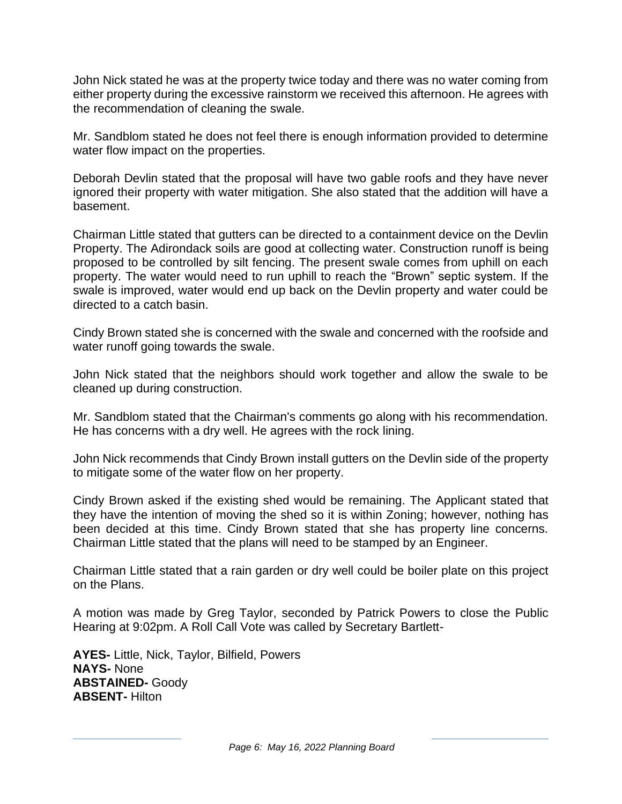John Nick stated he was at the property twice today and there was no water coming from either property during the excessive rainstorm we received this afternoon. He agrees with the recommendation of cleaning the swale.

Mr. Sandblom stated he does not feel there is enough information provided to determine water flow impact on the properties.

Deborah Devlin stated that the proposal will have two gable roofs and they have never ignored their property with water mitigation. She also stated that the addition will have a basement.

Chairman Little stated that gutters can be directed to a containment device on the Devlin Property. The Adirondack soils are good at collecting water. Construction runoff is being proposed to be controlled by silt fencing. The present swale comes from uphill on each property. The water would need to run uphill to reach the "Brown" septic system. If the swale is improved, water would end up back on the Devlin property and water could be directed to a catch basin.

Cindy Brown stated she is concerned with the swale and concerned with the roofside and water runoff going towards the swale.

John Nick stated that the neighbors should work together and allow the swale to be cleaned up during construction.

Mr. Sandblom stated that the Chairman's comments go along with his recommendation. He has concerns with a dry well. He agrees with the rock lining.

John Nick recommends that Cindy Brown install gutters on the Devlin side of the property to mitigate some of the water flow on her property.

Cindy Brown asked if the existing shed would be remaining. The Applicant stated that they have the intention of moving the shed so it is within Zoning; however, nothing has been decided at this time. Cindy Brown stated that she has property line concerns. Chairman Little stated that the plans will need to be stamped by an Engineer.

Chairman Little stated that a rain garden or dry well could be boiler plate on this project on the Plans.

A motion was made by Greg Taylor, seconded by Patrick Powers to close the Public Hearing at 9:02pm. A Roll Call Vote was called by Secretary Bartlett-

**AYES-** Little, Nick, Taylor, Bilfield, Powers **NAYS-** None **ABSTAINED-** Goody **ABSENT-** Hilton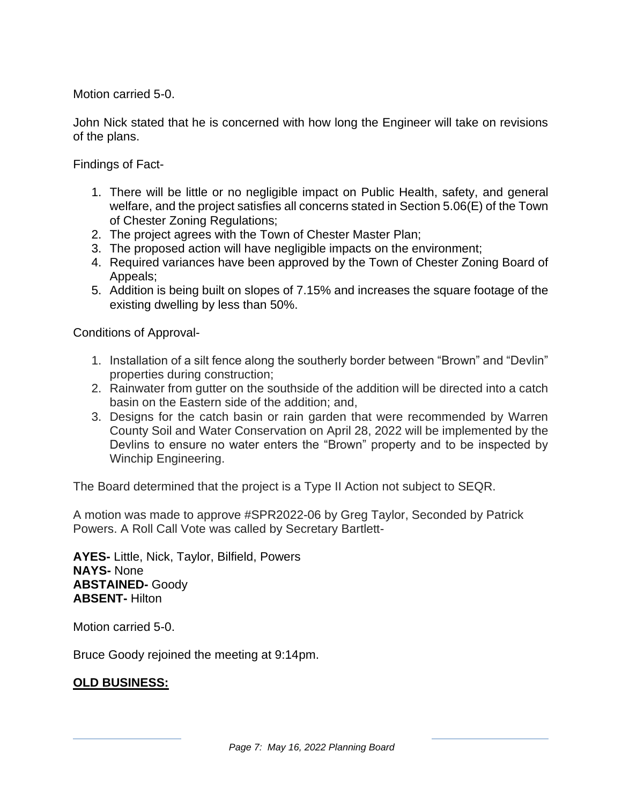Motion carried 5-0.

John Nick stated that he is concerned with how long the Engineer will take on revisions of the plans.

Findings of Fact-

- 1. There will be little or no negligible impact on Public Health, safety, and general welfare, and the project satisfies all concerns stated in Section 5.06(E) of the Town of Chester Zoning Regulations;
- 2. The project agrees with the Town of Chester Master Plan;
- 3. The proposed action will have negligible impacts on the environment;
- 4. Required variances have been approved by the Town of Chester Zoning Board of Appeals;
- 5. Addition is being built on slopes of 7.15% and increases the square footage of the existing dwelling by less than 50%.

Conditions of Approval-

- 1. Installation of a silt fence along the southerly border between "Brown" and "Devlin" properties during construction;
- 2. Rainwater from gutter on the southside of the addition will be directed into a catch basin on the Eastern side of the addition; and,
- 3. Designs for the catch basin or rain garden that were recommended by Warren County Soil and Water Conservation on April 28, 2022 will be implemented by the Devlins to ensure no water enters the "Brown" property and to be inspected by Winchip Engineering.

The Board determined that the project is a Type II Action not subject to SEQR.

A motion was made to approve #SPR2022-06 by Greg Taylor, Seconded by Patrick Powers. A Roll Call Vote was called by Secretary Bartlett-

**AYES-** Little, Nick, Taylor, Bilfield, Powers **NAYS-** None **ABSTAINED-** Goody **ABSENT-** Hilton

Motion carried 5-0.

Bruce Goody rejoined the meeting at 9:14pm.

#### **OLD BUSINESS:**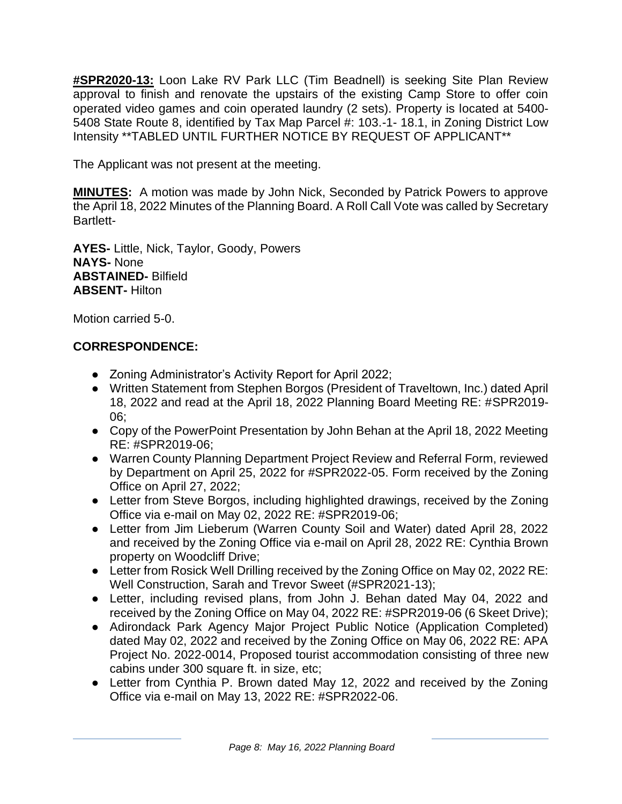**#SPR2020-13:** Loon Lake RV Park LLC (Tim Beadnell) is seeking Site Plan Review approval to finish and renovate the upstairs of the existing Camp Store to offer coin operated video games and coin operated laundry (2 sets). Property is located at 5400- 5408 State Route 8, identified by Tax Map Parcel #: 103.-1- 18.1, in Zoning District Low Intensity \*\*TABLED UNTIL FURTHER NOTICE BY REQUEST OF APPLICANT\*\*

The Applicant was not present at the meeting.

**MINUTES:** A motion was made by John Nick, Seconded by Patrick Powers to approve the April 18, 2022 Minutes of the Planning Board. A Roll Call Vote was called by Secretary Bartlett-

**AYES-** Little, Nick, Taylor, Goody, Powers **NAYS-** None **ABSTAINED-** Bilfield **ABSENT-** Hilton

Motion carried 5-0.

# **CORRESPONDENCE:**

- Zoning Administrator's Activity Report for April 2022;
- Written Statement from Stephen Borgos (President of Traveltown, Inc.) dated April 18, 2022 and read at the April 18, 2022 Planning Board Meeting RE: #SPR2019- 06;
- Copy of the PowerPoint Presentation by John Behan at the April 18, 2022 Meeting RE: #SPR2019-06;
- Warren County Planning Department Project Review and Referral Form, reviewed by Department on April 25, 2022 for #SPR2022-05. Form received by the Zoning Office on April 27, 2022;
- Letter from Steve Borgos, including highlighted drawings, received by the Zoning Office via e-mail on May 02, 2022 RE: #SPR2019-06;
- Letter from Jim Lieberum (Warren County Soil and Water) dated April 28, 2022 and received by the Zoning Office via e-mail on April 28, 2022 RE: Cynthia Brown property on Woodcliff Drive;
- Letter from Rosick Well Drilling received by the Zoning Office on May 02, 2022 RE: Well Construction, Sarah and Trevor Sweet (#SPR2021-13);
- Letter, including revised plans, from John J. Behan dated May 04, 2022 and received by the Zoning Office on May 04, 2022 RE: #SPR2019-06 (6 Skeet Drive);
- Adirondack Park Agency Major Project Public Notice (Application Completed) dated May 02, 2022 and received by the Zoning Office on May 06, 2022 RE: APA Project No. 2022-0014, Proposed tourist accommodation consisting of three new cabins under 300 square ft. in size, etc;
- Letter from Cynthia P. Brown dated May 12, 2022 and received by the Zoning Office via e-mail on May 13, 2022 RE: #SPR2022-06.